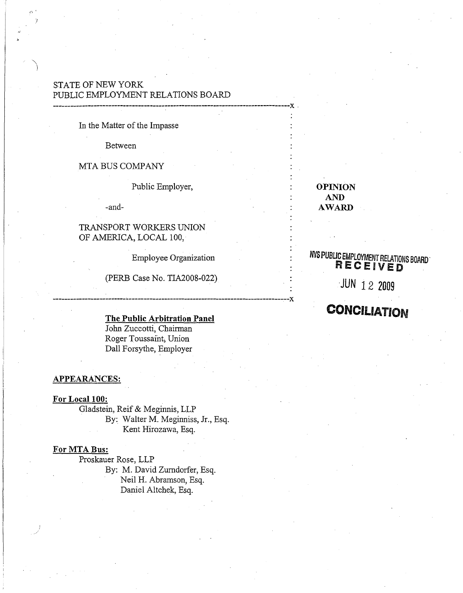## STATE OF NEW YORK PUBLIC EMPLOYMENT RELATIONS BOARD

#### In the Matter of the Impasse

Between

.,.'

""')

#### MTA BUS COMPANY

Public Employer,

---------------------------------------------------------------------------------x .

-and-

### TRANSPORT WORKERS UNION OF AMERICA, LOCAL 100,

Employee Organization

------------------------------------------------------------------------------~--x

(PERB Case No. TIA2008-022)

#### The Public Arbitration Panel

John Zuccotti, Chairman Roger Toussaint, Union Dall Forsythe, Employer

#### APPEARANCES:

#### For Local 100:

Gladstein, Reif & Meginnis, LLP By: Walter M. Meginniss, Jr., Esq. Kent Hirozawa, Esq.

#### For MTA Bus:

Proskauer Rose, LLP By: M. David Zumdorfer, Esq. Neil H. Abramson, Esq. Daniel Altchek, Esq.

OPINION AND AWARD

## **NYS PUBLIC EMPLOYMENT RELATIONS BOARD RECEIVED**

·JUN 12 2009

# CONCILIATION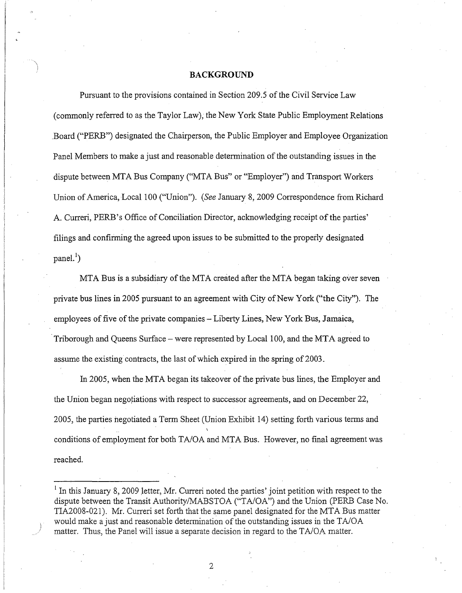#### **BACKGROUND**

Pursuant to the provisions contained in Section 209.5 of the Civil Service Law (commonly referred to as the Taylor Law), the New York State Public Employment Relations .Board ("PERB") designated the Chairperson, the Public Employer and Employee Organization Panel Members to make a just and reasonable determination of the outstanding issues in the dispute between MTA Bus Company ("MTA Bus" or "Employer") and Transport Workers Union of America, Local 100 ("Union"). *(See January 8, 2009 Correspondence from Richard* A. Curreri, PERB's Office of Conciliation Director, acknowledging receipt of the parties' filings and confirming the agreed upon issues to be submitted to the properly designated  $panel.'$ )

MTA Bus is a subsidiary of the MTA created after the MTA began taking over seven private bus lines in 2005 pursuant to an agreement with City of New York ("the City"). The employees of five of the private companies - Liberty Lines, New York Bus, Jamaica, Triborough and Queens Surface – were represented by Local 100, and the MTA agreed to assume the existing contracts, the last of which expired in the spring of 2003.

In 2005, when the MTA began its takeover of the private bus lines, the Employer and the Union began negotiations with respect to successor agreements, and on December 22, 2005, the parties negotiated a Term Sheet (Union Exhibit 14) setting forth various terms and conditions of employment for both TA/OA and MTA Bus. However, no final agreement was reached.

 $<sup>1</sup>$  In this January 8, 2009 letter, Mr. Curreri noted the parties' joint petition with respect to the</sup> dispute between the Transit Authority/MABSTOA ("TA/OA") and the Union (PERB Case No. TIA2008-021). Mr. Curreri set forth that the same panel designated for the MTA Bus matter would make a just and reasonable determination of the outstanding issues in the TA/OA matter. Thus, the Panel will issue a separate decision in regard to the TA/OA matter.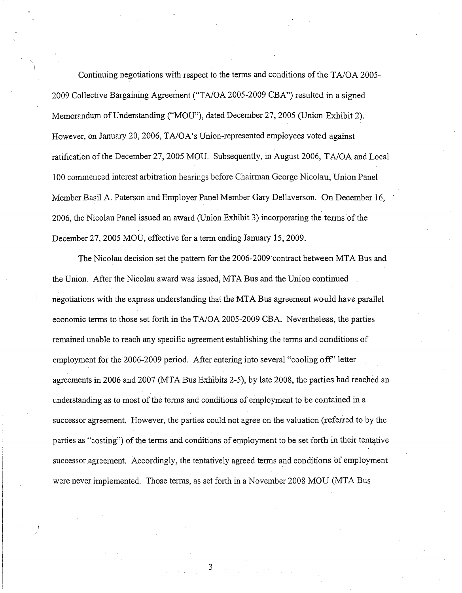Continuing negotiations with respect to the terms and conditions ofthe T*AlOA 2005-* 2009 Collective Bargaining Agreement ("T*AlOA* 2005-2009 CBA") resulted in a signed Memorandum of Understanding ("MOU"), dated December 27,2005 (Union Exhibit 2). However, on January 20, 2006, TA/OA's Union-represented employees voted against ratification of the December 27, 2005 MOU. Subsequently, in August 2006, *TA/OA* and Local 100 commenced interest arbitration hearings before Chairman George Nicolau, Union Panel Member Basil A. Paterson and Employer Panel Member Gary Dellaverson. On December 16, 2006, the Nicolau Panel issued an award (Union Exhibit 3) incorporating the terms of the December 27, 2005 MOU, effective for a term ending January 15,2009.

",)

The Nicolau decision set the pattern for the 2006-2009 contract between MTA Bus and the Union. After the Nicolau award was issued, MTA Bus and the Union continued . negotiations with the express understanding that the MTA Bus agreement would have parallel economic tenns to those set forth in the *TA/OA* 2005-2009 CBA. Nevertheless, the parties remained unable to reach any specific agreement establishing the tenns and conditions of employment for the 2006-2009 period. After entering into several "cooling off' letter agreements in 2006 and 2007 (MTA Bus Exhibits 2-5), by late 2008, the parties had reached an understanding as to most of the terms and conditions of employment to be contained in a successor agreement. However, the parties could not agree on the valuation (referred to by the parties as "costing") of the terms and conditions of employment to be set forth in their tentative successor agreement. Accordingly, the tentatively agreed terms and conditions of employment were never implemented. Those tenns, as set forth in a November 2008 MOD (MTA Bus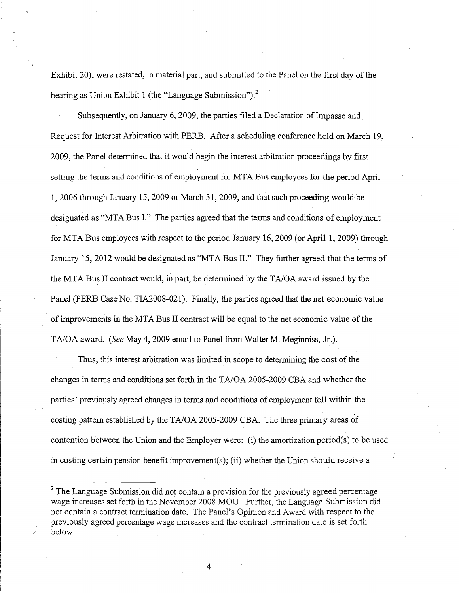Exhibit 20), were restated, in material part, and submitted to the Panel on the first day of the hearing as Union Exhibit 1 (the "Language Submission").<sup>2</sup>

Subsequently, on January 6, 2009, the parties filed a Declaration of Impasse and Request for Interest Arbitration with,PERB. After a scheduling conference held on March 19, 2009, the Panel determined that it would begin the interest arbitration proceedings by first setting the terms and conditions of employment for MTA Bus employees for the period April 1,2006 through January 15,2009 or March 31, 2009, and that such proceeding would be designated as "MTA Bus I." The parties agreed that the terms and conditions of employment for MTA Bus employees with respect to the period January 16,2009 (or April 1,2009) through January 15, 2012 would be designated as "MTA Bus II." They further agreed that the terms of the MTA Bus II contract would, in part, be determined by the TA/OA award issued by the Panel(PERB Case No. TIA2008-021). Finally, the parties agreed that the net economic value of improvements in the MTA Bus II contract will be equal to the net economic value of the TAlOA award. *(See* May 4,2009 email to Panel from Walter M. Meginniss, Jr.).

Thus, this interest arbitration was limited in scope to determining the cost of the changes in terms and conditions set forth in the TA/OA 2005-2009 CBA and whether the parties' previously agreed changes in terms and conditions of employment fell within the costing pattern established by the TA/OA 2005-2009 CBA. The three primary areas of contention between the Union and the Employer were: (i) the amortization period(s) to be used in costing certain pension benefit improvement(s); (ii) whether the Union should receive a

 $2$  The Language Submission did not contain a provision for the previously agreed percentage wage increases set forth in the November 2008 MOD. Further, the Language Submission did not contain a contract termination date. The Panel's Opinion and Award with respect to the previously agreed percentage wage increases and the contract termination date is set forth below.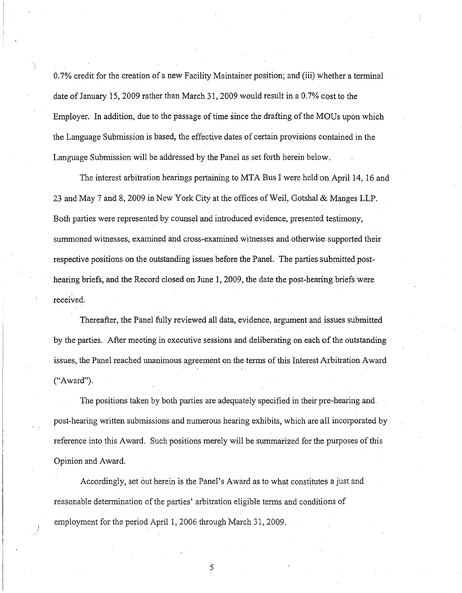0.7% credit for the creation of a new Facility Maintainer position; and (iii) whether a terminal date of January 15, 2009 rather than March 31, 2009 would result in a  $0.7\%$  cost to the Employer. In addition, due to the passage of time since the drafting of the MOUs upon which the Language Submission is based, the effective dates of certain provisions contained in the Language Submission will be addressed by the Panel as set forth herein below.

The interest arbitration hearings pertaining to MTA Bus I were held on April 14, 16 and 23 and May 7 and 8, 2009 in New York City at the offices of Weil, Gotshal & Manges LLP. Both parties were-represented by counsel and introduced evidence, presented testimony, summoned witnesses, examined and cross-examined witnesses and otherwise supported their respective positions on the outstanding issues before the Panel. The parties submitted posthearing briefs, and the Record closed on June 1, 2009, the date the post-hearing briefs were received.

Thereafter, the Panel fully reviewed all data, evidence, argument and issues submitted by the parties. After meeting in executive sessions and deliberating on each of the outstanding issues, the Panel reached unanimous agreement on the terms of this Interest Arbitration Award ("Award").

The positions taken by both parties are adequately specified in their pre-hearing and, post-hearing written submissions and numerous hearing exhibits, which are all incorporated by reference into this Award. Such positions merely will be summarized for the purposes of this Opinion and Award.

Accordingly, set out herein is the Panel's Award as to what constitutes a just and reasonable determination ofthe parties' arbitration eligible terms and conditions of employment for the period April 1, 2006 through March 31, 2009.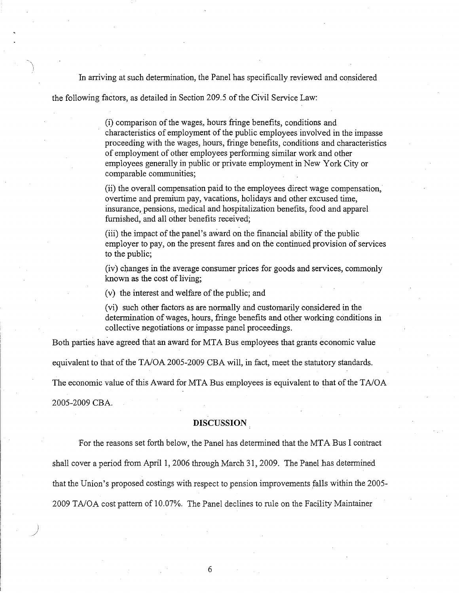In arriving at such determination, the Panel has specifically reviewed and considered

the following factors, as detailed in Section 209.5 of the Civil Service Law:

(i) comparison of the wages, hours fringe benefits, conditions and characteristics of employment of the public employees involved in the impasse proceeding with the wages, hours, fringe benefits, conditions and characteristics of employment of other employees performing similar work and other employees generally in public or private employment in New York City or comparable communities;

(ii) the overall compensation paid to the employees direct wage compensation, overtime and premium pay, vacations, holidays and other excused time, insurance, pensions, medical and hospitalization benefits, food and apparel furnished, and all other benefits received;

(iii) the impact of the panel's award on the financial ability of the public employer to pay, on the present fares and on the continued provision of services to the public;

(iv) changes in the average consumer prices for goods and services, commonly known as the cost of living;

 $(v)$  the interest and welfare of the public; and

(vi) such other factors as are nonnally and customarily considered in the determination of wages, hours, fringe benefits and other working conditions in collective negotiations or impasse panel proceedings.

Both parties have agreed that an award for MTA Bus employees that grants economic value

equivalent to that of the *TA/OA 2005-2009* CBA will, in fact, meet the statutory standards.

The economic value of this Award for MTA Bus employees is equivalent to that of the TA/OA

2005-2009 CBA.

)<br>)

#### **DISCUSSION**

For the reasons set forth below, the Panel has detennined that the MTA Bus I contract

shall cover a period from April 1, 2006 through March 31, 2009. The Panel has determined

that the Union's proposed costings with respect to pension improvements falls within the 2005-

*2009 TAIGA* cost pattern of 10.07%. The Panel declines to mle on the Facility Maintainer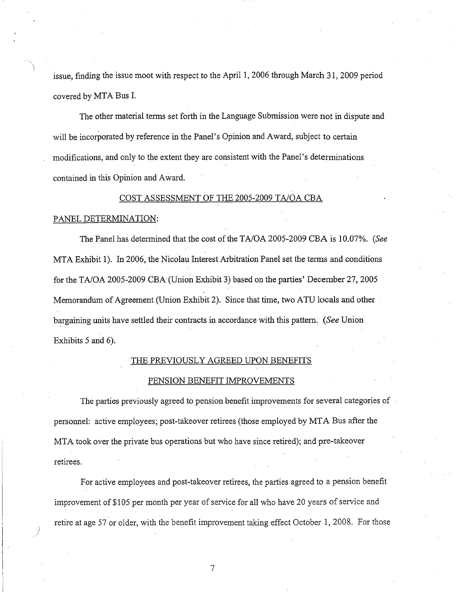issue, finding the issue moot with respect to the April 1,2006 through March 31,2009 period covered by MTA Bus 1.

The other material terms set forth in the Language Submission were not in dispute and will be incorporated by reference in the Panel's Opinion and Award, subject to certain modifications, and only to the extent they are consistent with the Panel's determinations contained in this Opinion and Award.

#### COST ASSESSMENT OF THE 2005-2009 T*AlOA* CBA

#### PANEL DETERMINATION:

The Panel has determined that the cost of the *TA/OA 2005-2009* CBA is 10.07%. *(See* MTA Exhibit 1). In 2006, the Nicolau Interest Arbitration Panel set the terms and conditions for the *TAlOA* 2005-2009 CBA(Union Exhibit 3) based on the parties' December 27,2005 Memorandum of Agreement (Union Exhibit 2). Since that time, two ATU locals and other bargaining units have settled their contracts in accordance with this pattern. *(See* Union<sup>1</sup>) Exhibits 5 and 6).

#### THE PREVIOUSLY AGREED UPON BENEFITS

#### PENSION BENEFIT IMPROVEMENTS

The parties previously agreed to pension benefit improvements for several categories of personnel: active employees; post-takeover retirees (those employed by MTA Bus after the MTA took over the private bus operations but who have since retired); and pre-takeover retirees.

For active employees and post-takeover retirees, the parties agreed to a pension benefit improvement of \$105 per month per year of service for all who have 20 years of service and retire at age 57 or older, with the benefit improvement taking effect October 1,2008. For those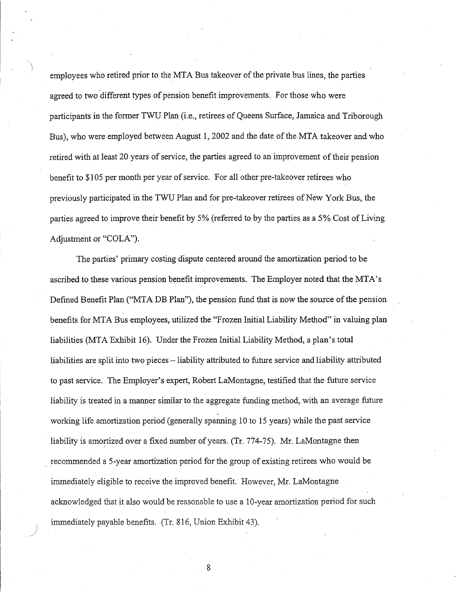employees who retired prior to the MTA Bus takeover of the private bus lines, the parties agreed to two different types of pension benefit improvements. For those who were participants in the former TWU Plan (i.e., retirees of Queens Surface, Jamaica and Triborough Bus), who were employed between August 1, 2002 and the date of the MTA takeover and who retired with at least 20 years of service, the parties agreed to an improvement of their pension benefit to \$105 per month per year of service. For all other pre-takeover retirees who previously participated in the TWU Plan and for pre-takeover retirees of New York Bus, the parties agreed to improve their benefit by 5% (referred to by the parties as a 5% Cost of Living Adjustment or "COLA").

The parties' primary costing dispute centered around the amortization period to be ascribed to these various pension benefit improvements. The Employer noted that the MTA's Defined Benefit Plan ("MTA DB Plan"), the pension fund that is now the source of the pension benefits for MTA Bus employees, utilized the "Frozen Initial Liability Method" in valuing plan liabilities (MTA Exhibit 16). Under the Frozen Initial Liability Method, a plan's total liabilities are split into two pieces - liability attributed to future service and liability attributed to past service. The Employer's expert, Robert LaMontagne, testified that the future service liability is treated in a manner similar to the aggregate funding method, with an average future working life amortization period (generally spanning 10 to 15 years) while the past service liability is amortized over a fixed number of years. (Tr. 774-75). Mr. LaMontagne then recommended a 5-year amortization period for the group of existing retirees who would be immediately eligible to receive the improved benefit. However, Mr. LaMontagne acknowledged that it also would be reasonable to use a 10-year amortization period for such immediately payable benefits. (Tr. 816, Union Exhibit 43).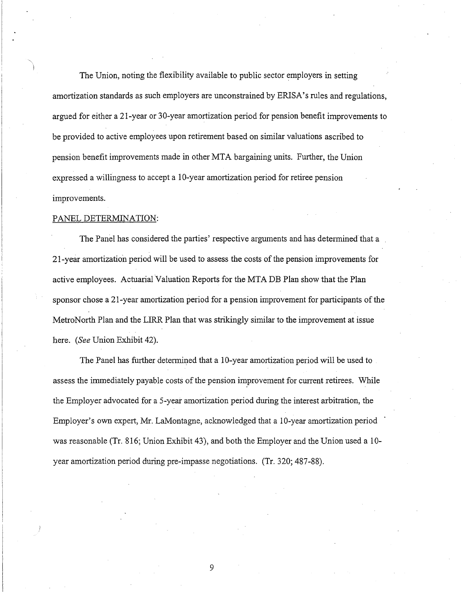The Union, noting the flexibility available to public sector employers in setting amortization standards as such employers are unconstrained by ERISA's rules and regulations, argued for either a 21-year or 30-year amortization period for pension benefit improvements to be provided to active employees upon retirement based on similar valuations ascribed to pension benefit improvements made in other MTA bargaining units. Further, the Union expressed a willingness to accept a 10-year amortization period for retiree pension improvements.

#### PANEL DETERMINATION:

The Panel has considered the parties' respective arguments and has determined that a 21-year amortization period will be used to assess the costs ofthe pension improvements for active employees. Actuarial Valuation Reports for the MTA DB Plan show that the Plan sponsor chose a 21-year amortization period for a pension improvement for participants of the MetroNorth Plan and the LIRR Plan that was strikingly similar to the improvement at issue here. *(See* Union Exhibit 42).

The Panel has further determined that a 10-year amortization period will be used to assess the immediately payable costs of the pension improvement for current retirees. While the Employer advocated for a 5-year amortization period during the interest arbitration, the Employer's own expert, Mr. LaMontagne, acknowledged that a 10-year amortization period was reasonable (Tr. 816; Union Exhibit 43), and both the Employer and the Union used a 10 year amortization period during pre-impasse negotiations. (Tr. 320; 487-88).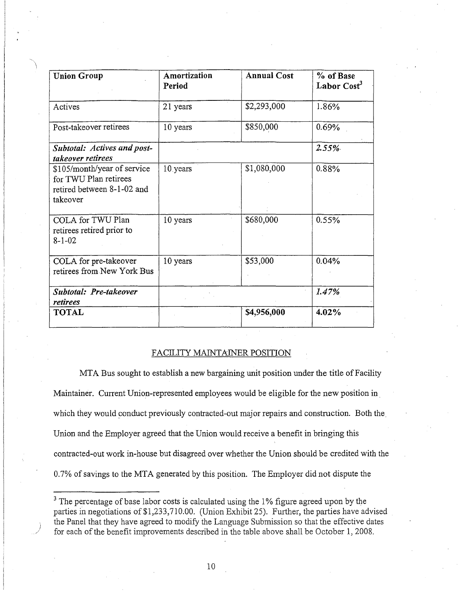| <b>Union Group</b>                                                                             | Amortization<br>Period | <b>Annual Cost</b> | % of Base<br>Labor Cost <sup>3</sup> |
|------------------------------------------------------------------------------------------------|------------------------|--------------------|--------------------------------------|
| Actives                                                                                        | 21 years               | \$2,293,000        | 1.86%                                |
| Post-takeover retirees                                                                         | 10 years               | \$850,000          | 0.69%                                |
| <b>Subtotal: Actives and post-</b><br>takeover retirees                                        |                        |                    | 2.55%                                |
| \$105/month/year of service<br>for TWU Plan retirees<br>retired between 8-1-02 and<br>takeover | 10 years               | \$1,080,000        | 0.88%                                |
| COLA for TWU Plan<br>retirees retired prior to<br>$8 - 1 - 02$                                 | 10 years               | \$680,000          | 0.55%                                |
| COLA for pre-takeover<br>retirees from New York Bus                                            | 10 years               | \$53,000           | 0.04%                                |
| Subtotal: Pre-takeover<br>retirees                                                             |                        |                    | 1.47%                                |
| <b>TOTAL</b>                                                                                   |                        | \$4,956,000        | 4.02%                                |

#### FACILITY MAINTAINER POSITION

MTA Bus sought to establish a new bargaining unit position under the title of Facility Maintainer. Current Union-represented employees would be eligible for the new position in. which they would conduct previously contracted-out major repairs and construction. Both the Union and the Employer agreed that the Union would receive a benefit in bringing this contracted-out work in-house but disagreed over whether the Union should be credited with the 0.7% of savings to the MTA generated by this position. The Employer did not dispute the

<sup>&</sup>lt;sup>3</sup> The percentage of base labor costs is calculated using the 1% figure agreed upon by the parties in negotiations of \$1,233,710.00. (Union Exhibit 25). Further, the parties have advised the Panel that they have agreed to modify the Language Submission so that the effective dates for each of the benefit improvements described in the table above shall be October 1, 2008.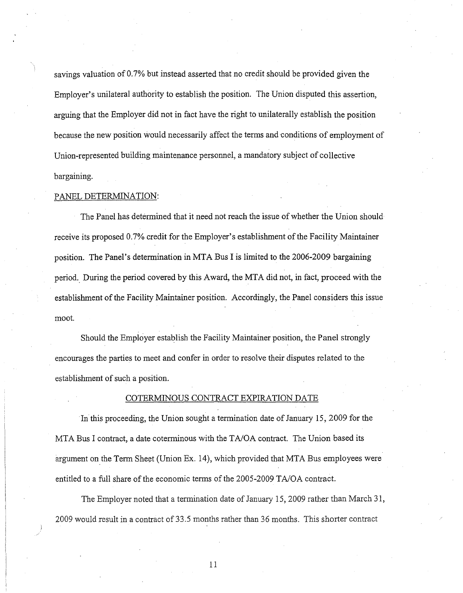savings valuation of 0.7% but instead asserted that no credit should be provided given the Employer's unilateral authority to establish the position. The Union disputed this assertion, arguing that the Employer did not in fact have the right to unilaterally establish the position because the new position would necessarily affect the terms and conditions of employment of Union-represented building maintenance personnel, a mandatory subject of collective bargaining.

#### PANEL DETERMINATION:

The Panel has determined that it need not reach the issue of whether the Union should receive its proposed 0.7% credit for the Employer's establishment of the Facility Maintainer position. The Panel's determination in MTA Bus I is limited to the 2006-2009 bargaining period. During the period covered by this Award, the MTA did not, in fact, proceed with the establishment of the Facility Maintainer position. Accordingly, the Panel considers this issue moot.

Should the Employer establish the Facility Maintainer position, the Panel strongly encourages the parties to meet and confer in order to resolve their disputes related to the establishment of such a position.

#### COTERMINOUS CONTRACT EXPIRATION DATE

In this proceeding, the Union sought a termination date of January 15, 2009 for the MTA Bus I contract, a date coterminous with the TAlOA contract. The Union based its argument on the Term Sheet (Union Ex. 14), which provided that MTA Bus employees were entitled to a full share of the economic terms of the 2005-2009 TA/OA contract.

The Employer noted that a termination date of January 15, 2009 rather than March 31, 2009 would result in a contract of33.5 months rather than 36 months. This shorter contract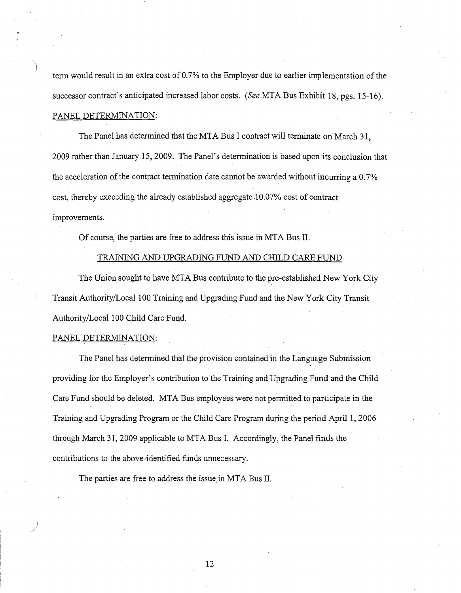term would result in an extra cost of 0.7% to the Employer due to earlier implementation ofthe successor contract's anticipated increased labor costs. *(See* MTA Bus Exhibit 18, pgs. 15-16). PANEL DETERMINATION:

The Panel has determined that the MTA Bus I contract will terminate on March 31, 2009 rather than January 15,2009. The Panel's determination is based upon its conclusion that the acceleration of the contract termination date cannot be awarded without incurring a  $0.7\%$ cost, thereby exceeding the already established aggregate.l 0.07% cost of contract improvements.

Of course, the parties are free to address this issue in MTA Bus II.

#### TRAINING AND UPGRADING FUND AND CHILD CARE FUND

The Union sought to have MTA Bus contribute to the pre-established New York City Transit Authority/Local 100 Training and Upgrading Fund and the New York City Transit Authority/Local 100 Child Care Fund.

#### PANEL DETERMINATION:

) ./

The Panel has determined that the provision contained in the Language Submission providing for the Employer's contribution to the Training and Upgrading Fund and the Child Care Fund should be deleted. MTA Bus employees were not permitted to participate in the Training and Upgrading Program or the Child Care Program during the period April 1, 2006 through March 31,2009 applicable to MTA Bus 1. Accordingly, the Panel finds the contributions to the above-identified funds unnecessary.

The parties are free to address the issue in MTA Bus II.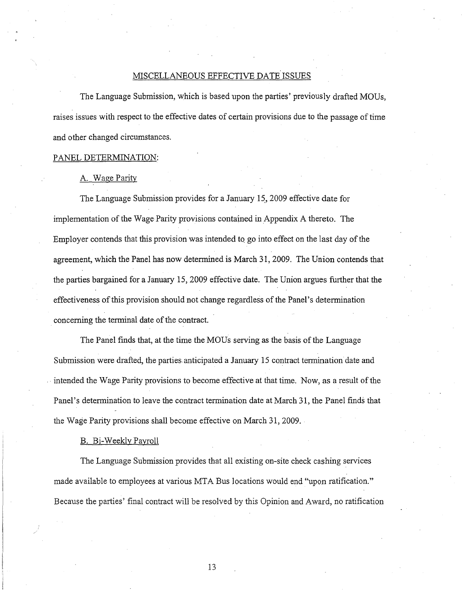#### MISCELLANEOUS EFFECTIVE DATE ISSUES

The Language Submission, which is based upon the parties' previously drafted MOUs, raises issues with respect to the effective dates of certain provisions due to the passage of time and other changed circumstances.

#### PANEL DETERMINATION:

#### A. Wage Parity

The Language Submission provides for a January 15, 2009 effective date for implementation of the Wage Parity provisions contained in Appendix A thereto. The Employer contends that this provision was intended to go into effect on the last day of the agreement, which the Panel has now determined is March 31, 2009. The Union contends that the parties bargained for a January 15,2009 effective date. The Union argues further that the effectiveness of this provision should not change regardless of the Panel's determination concerning the terminal date of the contract.

The Panel finds that, at the time the MOUs serving as the basis ofthe Language Submission were drafted, the parties. anticipated a January 15 contract termination date and intended the Wage Parity provisions to become effective at that time. Now, as a result of the Panel's determination to leave the contract termination date at March 31, the Panel finds that the Wage Parity provisions shall become effective on March 31, 2009.

#### B. Bi-Weekly Payroll

The Language Submission provides that all existing on-site check cashing services made available to employees at various MTA Bus locations would end "upon ratification." Because the parties' final contract will be resolved by this Opinion and Award, no ratification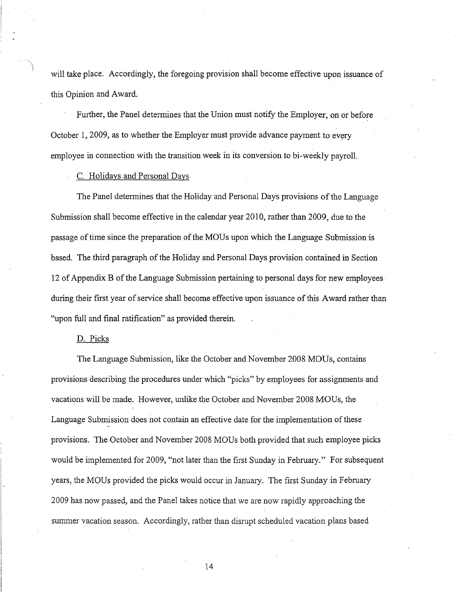will take place. Accordingly, the foregoing provision shall become effective upon issuance of this Opinion and Award.

Further, the Panel determines that the Union must notify the Employer, on or before October 1, 2009, as to whether the Employer must provide advance payment to every employee in connection with the transition week in its conversion to bi-weekly payroll.

#### C. Holidays and Personal Days

The Panel determines that the Holiday and Personal Days provisions of the Language Submission shall become effective in the calendar year 2010, rather than 2009, due to the passage of time since the preparation of the MOUs upon which the Language Submission is based. The third paragraph of the Holiday and Personal Days provision contained in Section 12 of Appendix B of the Language Submission pertaining to personal days for new employees during their first year of service shall become effective upon issuance of this Award rather than "upon full and final ratification" as provided therein.

#### D. Picks

The Language Submission, like the October and November 2008 MOUs, contains provisions describing the procedures under which "picks" by employees for assignments and vacations will be made. However, unlike the October and November 2008 MOUs, the Language Submission does not contain an effective date for the implementation ofthese provisions. The October and November 2008 MODs both provided that such employee picks would be implemented for 2009, "not later than the first Sunday in February." For subsequent years, the MOUs provided the picks would occur in January. The first Sunday in February 2009 has now passed, and the Panel takes notice that we are now rapidly approaching the summer vacation season. Accordingly, rather than disrupt scheduled vacation plans based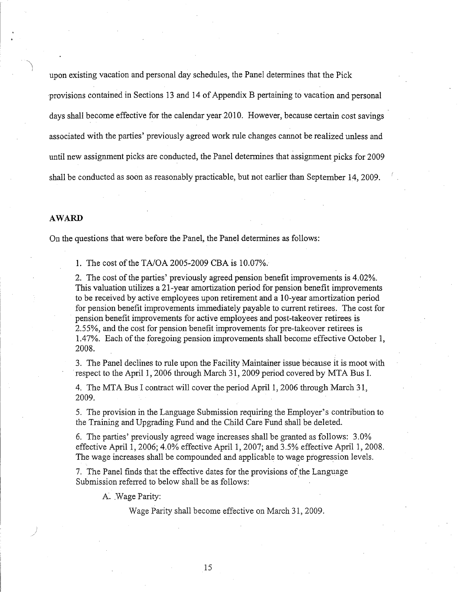upon existing vacation and personal day schedules, the Panel determines that the Pick ·provisions contained in Sections 13 and 14 ofAppendix B pertaining to vacation and personal days shall become effective for the calendar year20l0. However, because certain cost savings associated with the parties' previously agreed work rule changes cannot be realized unless and until new assignment picks ate conducted, the Panel detennines that assignment picks for 2009 shall be conducted as soon as reasonably practicable, but not earlier than September 14, 2009.

#### **AWARD**

On the questions that were before the Panel, the Panel determines as follows:

1. The cost of the TA/OA 2005-2009 CBA is 10.07%.

2. The cost of the parties' previously agreed pension benefit improvements is 4.02%. This valuation utilizes a 21-year amortization period for pension benefit improvements to be received by active employees upon retirement and a 10-year amortization period for pension benefit improvements immediately payable to current retirees. The cost for pension benefit improvements for active employees and post-takeover retirees is 2.55%, and the cost for pension benefit improvements for pre-takeover retirees is 1.47%. Each of the foregoing pension improvements shall become effective October 1, 2008.

3. The Panel declines to rule upon the Facility Maintainer issue because it is moot with .respect to the April 1,2006 through March 31, 2009 period covered by MTA Bus 1.

4. The MTA Bus I contract will cover the period April 1, 2006 through March 31, 2009.

5. The provision in the Language Submission requiring the Employer's contribution to the Training and Upgrading Fund and the Child Care Fund shall be deleted.

6. The parties' previously agreed wage increases shall be granted as follows: 3.0% effective April 1, 2006; 4.0% effective April 1, 2007; and 3.5% effective April 1, 2008. The wage increases shall be compounded and applicable to wage progression levels.

7. The Panel finds that the effective dates for the provisions of the Language Submission referred to below shall be as follows:

A. Wage Parity:

Wage Parity shall become effective on March 31, 2009.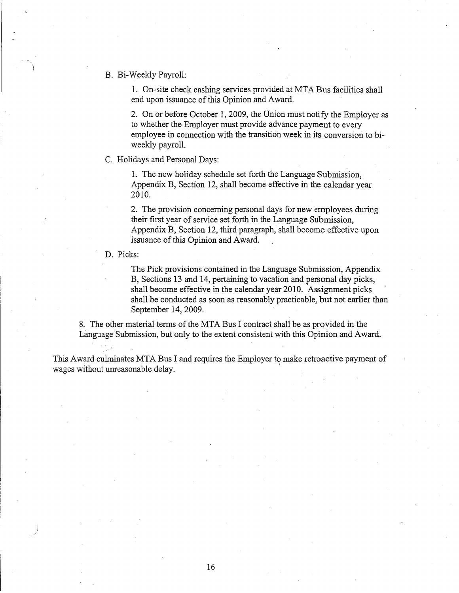B. Bi-Week1y Payroll:

1. On-site check cashing services provided at MTA Bus facilities shall end upon issuance of this Opinion and Award.

2. On or before October 1,2009, the Union must notify the Employer as to whether the Employer must provide advance payment to every employee in connection with the transition week in its conversion to biweekly payroll.

#### C. Holidays and Personal Days:

1. The new holiday schedule set forth the Language Submission, Appendix B, Section 12, shall become effective in the calendar year 2010.

2. The provision concerning personal days for new employees during their first year of service set forth in the Language Submission, Appendix B, Section 12, third paragraph, shall become effective upon issuance of this Opinion and Award.

D. Picks:

The Pick provisions contained in the Language Submission, Appendix B, Sections 13 and 14, pertaining to vacation and personal day picks, shall become effective in the calendar year 2010. Assignment picks shall be conducted as soon as reasonably practicable, but not earlier than September 14,2009.

8. The other material terms of the MTA Bus I contract shall be as provided in the Language Submission, but only to the extent consistent with this Opinion and Award.

This Award culminates MTA Bus I and requires the Employer to make retroactive payment of wages without unreasonable delay. '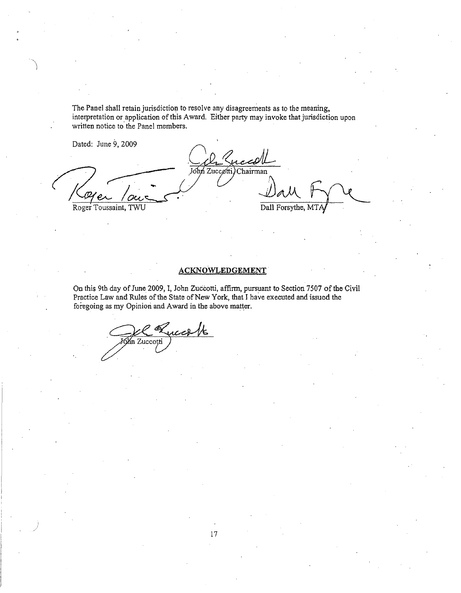The Panel shall retain jurisdiction to resolve any disagreements as to the meaning, interpretation or application of this Award. Either party may invoke that jurisdiction upon written notice to the Panel members.

Dated: June 9, 2009

John Zuccøtti) Chairman JJAA. Roger Toussaint, TWU Dall Forsythe, MT

## **ACKNO'wLEDGEMENT**

On this 9th day of June 2009, I, John Zuccotti, affirm, pursuant to Section 7507 of the Civil Practice Law and Rules of the State of New York, that I have executed and issued the foregoing as my Opinion and Award in the above matter.

in Zucco